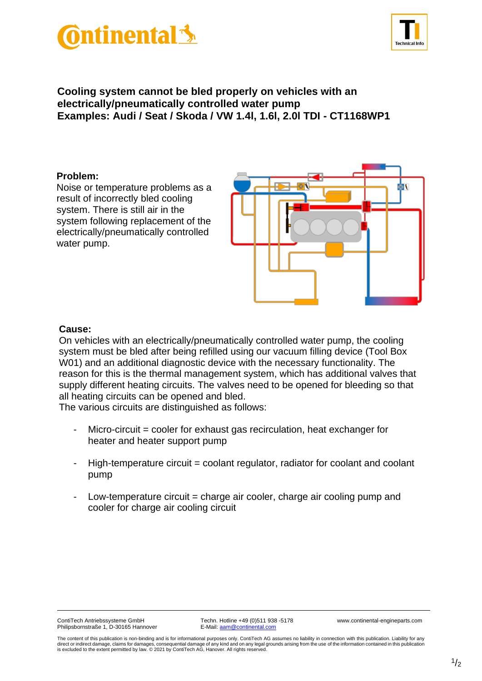



## **Cooling system cannot be bled properly on vehicles with an electrically/pneumatically controlled water pump Examples: Audi / Seat / Skoda / VW 1.4l, 1.6l, 2.0l TDI - CT1168WP1**

## **Problem:**

Noise or temperature problems as a result of incorrectly bled cooling system. There is still air in the system following replacement of the electrically/pneumatically controlled water pump.



## **Cause:**

On vehicles with an electrically/pneumatically controlled water pump, the cooling system must be bled after being refilled using our vacuum filling device (Tool Box W01) and an additional diagnostic device with the necessary functionality. The reason for this is the thermal management system, which has additional valves that supply different heating circuits. The valves need to be opened for bleeding so that all heating circuits can be opened and bled.

The various circuits are distinguished as follows:

- $Micro-circuit = cooler for exhaust gas recirculation, heat exchange for$ heater and heater support pump
- High-temperature circuit = coolant regulator, radiator for coolant and coolant pump
- Low-temperature circuit = charge air cooler, charge air cooling pump and cooler for charge air cooling circuit

ContiTech Antriebssysteme GmbH Techn. Hotline +49 (0)511 938 -5178 www.continental-engineparts.com<br>
Philipsbornstraße 1, D-30165 Hannover E-Mail: aam@continental.com Philipsbornstraße 1, D-30165 Hannover

The content of this publication is non-binding and is for informational purposes only. ContiTech AG assumes no liability in connection with this publication. Liability for any direct or indirect damage, claims for damages, consequential damage of any kind and on any legal grounds arising from the use of the information contained in this publication<br>is excluded to the extent permitted by law. © 2